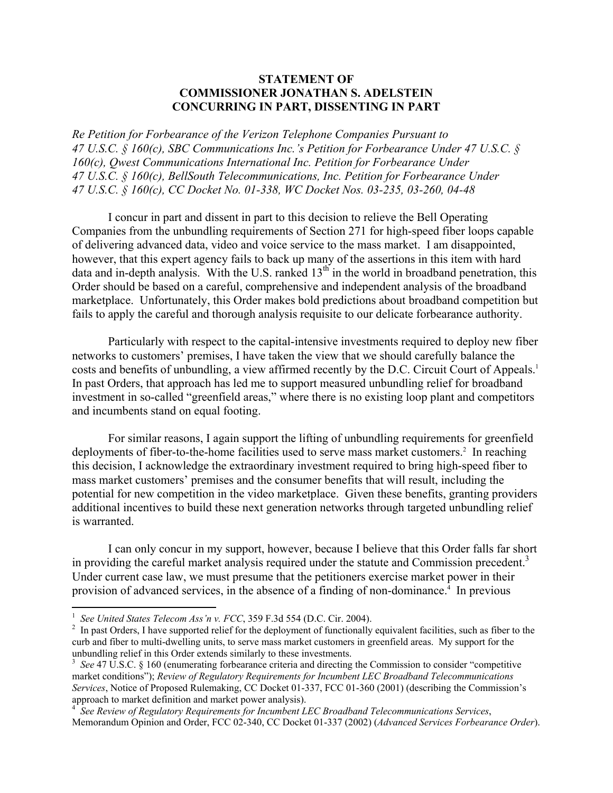## **STATEMENT OF COMMISSIONER JONATHAN S. ADELSTEIN CONCURRING IN PART, DISSENTING IN PART**

*Re Petition for Forbearance of the Verizon Telephone Companies Pursuant to 47 U.S.C. § 160(c), SBC Communications Inc.'s Petition for Forbearance Under 47 U.S.C. § 160(c), Qwest Communications International Inc. Petition for Forbearance Under 47 U.S.C. § 160(c), BellSouth Telecommunications, Inc. Petition for Forbearance Under 47 U.S.C. § 160(c), CC Docket No. 01-338, WC Docket Nos. 03-235, 03-260, 04-48* 

I concur in part and dissent in part to this decision to relieve the Bell Operating Companies from the unbundling requirements of Section 271 for high-speed fiber loops capable of delivering advanced data, video and voice service to the mass market. I am disappointed, however, that this expert agency fails to back up many of the assertions in this item with hard data and in-depth analysis. With the U.S. ranked  $13<sup>th</sup>$  in the world in broadband penetration, this Order should be based on a careful, comprehensive and independent analysis of the broadband marketplace. Unfortunately, this Order makes bold predictions about broadband competition but fails to apply the careful and thorough analysis requisite to our delicate forbearance authority.

Particularly with respect to the capital-intensive investments required to deploy new fiber networks to customers' premises, I have taken the view that we should carefully balance the costs and benefits of unbundling, a view affirmed recently by the D.C. Circuit Court of Appeals.<sup>1</sup> In past Orders, that approach has led me to support measured unbundling relief for broadband investment in so-called "greenfield areas," where there is no existing loop plant and competitors and incumbents stand on equal footing.

For similar reasons, I again support the lifting of unbundling requirements for greenfield deployments of fiber-to-the-home facilities used to serve mass market customers.<sup>2</sup> In reaching this decision, I acknowledge the extraordinary investment required to bring high-speed fiber to mass market customers' premises and the consumer benefits that will result, including the potential for new competition in the video marketplace. Given these benefits, granting providers additional incentives to build these next generation networks through targeted unbundling relief is warranted.

I can only concur in my support, however, because I believe that this Order falls far short in providing the careful market analysis required under the statute and Commission precedent.<sup>3</sup> Under current case law, we must presume that the petitioners exercise market power in their provision of advanced services, in the absence of a finding of non-dominance.<sup>4</sup> In previous

 $\frac{1}{1}$  See United States Telecom Ass'n v. FCC, 359 F.3d 554 (D.C. Cir. 2004).

<sup>&</sup>lt;sup>2</sup> In past Orders, I have supported relief for the deployment of functionally equivalent facilities, such as fiber to the curb and fiber to multi-dwelling units, to serve mass market customers in greenfield areas. My support for the unbundling relief in this Order extends similarly to these investments.

<sup>&</sup>lt;sup>3</sup> See 47 U.S.C. § 160 (enumerating forbearance criteria and directing the Commission to consider "competitive" market conditions"); *Review of Regulatory Requirements for Incumbent LEC Broadband Telecommunications Services*, Notice of Proposed Rulemaking, CC Docket 01-337, FCC 01-360 (2001) (describing the Commission's approach to market definition and market power analysis).

<sup>4</sup> *See Review of Regulatory Requirements for Incumbent LEC Broadband Telecommunications Services*, Memorandum Opinion and Order, FCC 02-340, CC Docket 01-337 (2002) (*Advanced Services Forbearance Order*).